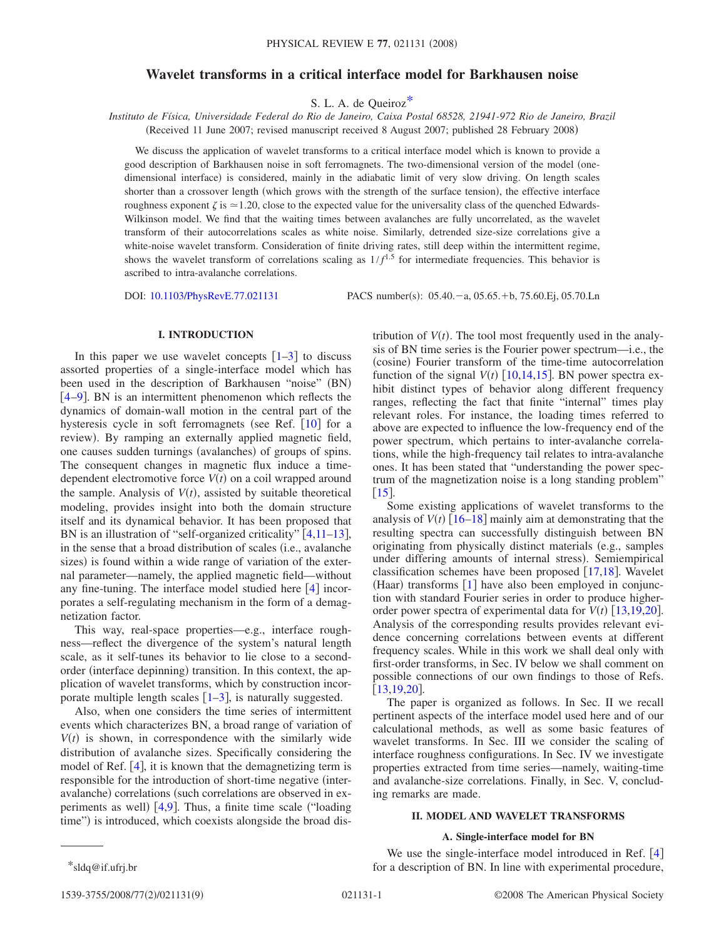# **Wavelet transforms in a critical interface model for Barkhausen noise**

S. L. A. de Queiro[z\\*](#page-0-0)

*Instituto de Física, Universidade Federal do Rio de Janeiro, Caixa Postal 68528, 21941-972 Rio de Janeiro, Brazil* (Received 11 June 2007; revised manuscript received 8 August 2007; published 28 February 2008)

We discuss the application of wavelet transforms to a critical interface model which is known to provide a good description of Barkhausen noise in soft ferromagnets. The two-dimensional version of the model onedimensional interface) is considered, mainly in the adiabatic limit of very slow driving. On length scales shorter than a crossover length (which grows with the strength of the surface tension), the effective interface roughness exponent  $\zeta$  is  $\approx$  1.20, close to the expected value for the universality class of the quenched Edwards-Wilkinson model. We find that the waiting times between avalanches are fully uncorrelated, as the wavelet transform of their autocorrelations scales as white noise. Similarly, detrended size-size correlations give a white-noise wavelet transform. Consideration of finite driving rates, still deep within the intermittent regime, shows the wavelet transform of correlations scaling as  $1/f$ <sup>1.5</sup> for intermediate frequencies. This behavior is ascribed to intra-avalanche correlations.

DOI: [10.1103/PhysRevE.77.021131](http://dx.doi.org/10.1103/PhysRevE.77.021131)

:  $05.40 - a$ ,  $05.65 + b$ ,  $75.60.Ej$ ,  $05.70.Ln$ 

#### **I. INTRODUCTION**

In this paper we use wavelet concepts  $\lceil 1-3 \rceil$  $\lceil 1-3 \rceil$  $\lceil 1-3 \rceil$  to discuss assorted properties of a single-interface model which has been used in the description of Barkhausen "noise" (BN)  $[4-9]$  $[4-9]$  $[4-9]$ . BN is an intermittent phenomenon which reflects the dynamics of domain-wall motion in the central part of the hysteresis cycle in soft ferromagnets (see Ref.  $[10]$  $[10]$  $[10]$  for a review). By ramping an externally applied magnetic field, one causes sudden turnings (avalanches) of groups of spins. The consequent changes in magnetic flux induce a timedependent electromotive force  $V(t)$  on a coil wrapped around the sample. Analysis of  $V(t)$ , assisted by suitable theoretical modeling, provides insight into both the domain structure itself and its dynamical behavior. It has been proposed that BN is an illustration of "self-organized criticality"  $[4,11-13]$  $[4,11-13]$  $[4,11-13]$  $[4,11-13]$  $[4,11-13]$ , in the sense that a broad distribution of scales (i.e., avalanche sizes) is found within a wide range of variation of the external parameter—namely, the applied magnetic field—without any fine-tuning. The interface model studied here  $\lceil 4 \rceil$  $\lceil 4 \rceil$  $\lceil 4 \rceil$  incorporates a self-regulating mechanism in the form of a demagnetization factor.

This way, real-space properties—e.g., interface roughness—reflect the divergence of the system's natural length scale, as it self-tunes its behavior to lie close to a secondorder (interface depinning) transition. In this context, the application of wavelet transforms, which by construction incorporate multiple length scales  $[1-3]$  $[1-3]$  $[1-3]$ , is naturally suggested.

Also, when one considers the time series of intermittent events which characterizes BN, a broad range of variation of  $V(t)$  is shown, in correspondence with the similarly wide distribution of avalanche sizes. Specifically considering the model of Ref.  $[4]$  $[4]$  $[4]$ , it is known that the demagnetizing term is responsible for the introduction of short-time negative (interavalanche) correlations (such correlations are observed in ex-periments as well) [[4,](#page-8-2)[9](#page-8-3)]. Thus, a finite time scale ("loading time") is introduced, which coexists alongside the broad dis-

tribution of  $V(t)$ . The tool most frequently used in the analysis of BN time series is the Fourier power spectrum—i.e., the (cosine) Fourier transform of the time-time autocorrelation function of the signal  $V(t)$  [[10,](#page-8-4)[14,](#page-8-7)[15](#page-8-8)]. BN power spectra exhibit distinct types of behavior along different frequency ranges, reflecting the fact that finite "internal" times play relevant roles. For instance, the loading times referred to above are expected to influence the low-frequency end of the power spectrum, which pertains to inter-avalanche correlations, while the high-frequency tail relates to intra-avalanche ones. It has been stated that "understanding the power spectrum of the magnetization noise is a long standing problem"  $[15]$  $[15]$  $[15]$ .

Some existing applications of wavelet transforms to the analysis of  $V(t)$   $[16–18]$  $[16–18]$  $[16–18]$  $[16–18]$  mainly aim at demonstrating that the resulting spectra can successfully distinguish between BN originating from physically distinct materials (e.g., samples under differing amounts of internal stress). Semiempirical classification schemes have been proposed  $\lceil 17,18 \rceil$  $\lceil 17,18 \rceil$  $\lceil 17,18 \rceil$  $\lceil 17,18 \rceil$ . Wavelet (Haar) transforms [[1](#page-8-0)] have also been employed in conjunction with standard Fourier series in order to produce higherorder power spectra of experimental data for  $V(t)$  [[13,](#page-8-6)[19,](#page-8-12)[20](#page-8-13)]. Analysis of the corresponding results provides relevant evidence concerning correlations between events at different frequency scales. While in this work we shall deal only with first-order transforms, in Sec. IV below we shall comment on possible connections of our own findings to those of Refs.  $[13, 19, 20]$  $[13, 19, 20]$  $[13, 19, 20]$ .

The paper is organized as follows. In Sec. II we recall pertinent aspects of the interface model used here and of our calculational methods, as well as some basic features of wavelet transforms. In Sec. III we consider the scaling of interface roughness configurations. In Sec. IV we investigate properties extracted from time series—namely, waiting-time and avalanche-size correlations. Finally, in Sec. V, concluding remarks are made.

#### **II. MODEL AND WAVELET TRANSFORMS**

### **A. Single-interface model for BN**

<span id="page-0-0"></span>We use the single-interface model introduced in Ref.  $[4]$  $[4]$  $[4]$ \*sldq@if.ufrj.br for a description of BN. In line with experimental procedure,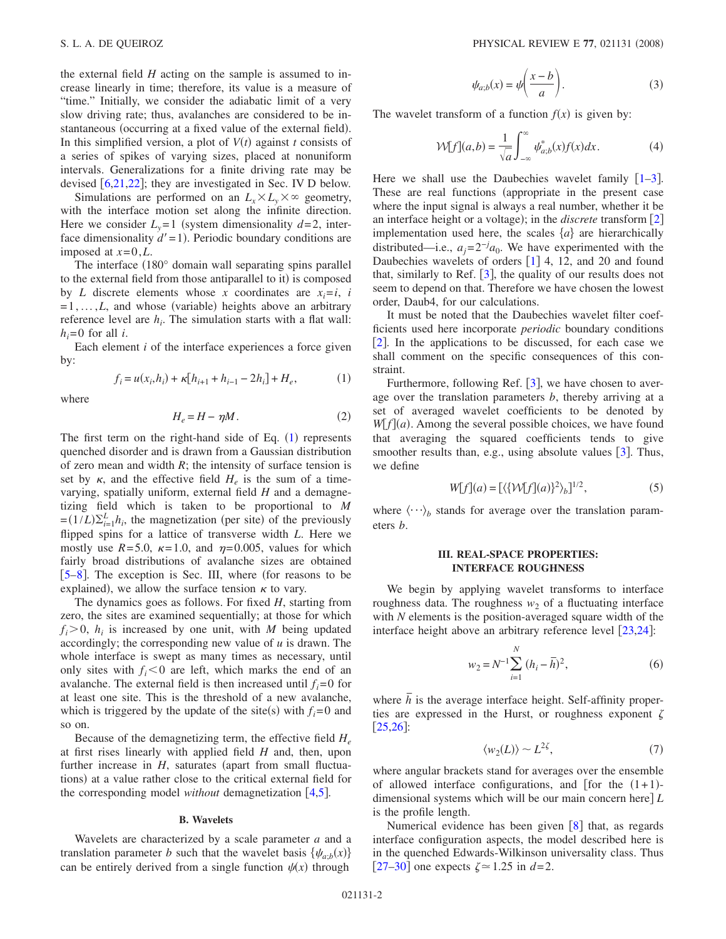the external field *H* acting on the sample is assumed to increase linearly in time; therefore, its value is a measure of "time." Initially, we consider the adiabatic limit of a very slow driving rate; thus, avalanches are considered to be instantaneous (occurring at a fixed value of the external field). In this simplified version, a plot of  $V(t)$  against *t* consists of a series of spikes of varying sizes, placed at nonuniform intervals. Generalizations for a finite driving rate may be devised  $[6,21,22]$  $[6,21,22]$  $[6,21,22]$  $[6,21,22]$  $[6,21,22]$ ; they are investigated in Sec. IV D below.

Simulations are performed on an  $L_x \times L_y \times \infty$  geometry, with the interface motion set along the infinite direction. Here we consider  $L_v = 1$  (system dimensionality  $d = 2$ , interface dimensionality  $d' = 1$ ). Periodic boundary conditions are imposed at  $x=0,L$ .

The interface  $(180°)$  domain wall separating spins parallel to the external field from those antiparallel to it) is composed by *L* discrete elements whose *x* coordinates are  $x_i = i$ , *i*  $=1,...,L$ , and whose (variable) heights above an arbitrary reference level are  $h_i$ . The simulation starts with a flat wall:  $h_i = 0$  for all *i*.

Each element *i* of the interface experiences a force given by:

$$
f_i = u(x_i, h_i) + \kappa [h_{i+1} + h_{i-1} - 2h_i] + H_e,
$$
 (1)

<span id="page-1-1"></span><span id="page-1-0"></span>where

$$
H_e = H - \eta M. \tag{2}
$$

The first term on the right-hand side of Eq.  $(1)$  $(1)$  $(1)$  represents quenched disorder and is drawn from a Gaussian distribution of zero mean and width  $R$ ; the intensity of surface tension is set by  $\kappa$ , and the effective field  $H_e$  is the sum of a timevarying, spatially uniform, external field *H* and a demagnetizing field which is taken to be proportional to *M*  $=(1/L)\sum_{i=1}^{L} h_i$ , the magnetization (per site) of the previously flipped spins for a lattice of transverse width *L*. Here we mostly use  $R = 5.0$ ,  $\kappa = 1.0$ , and  $\eta = 0.005$ , values for which fairly broad distributions of avalanche sizes are obtained [[5–](#page-8-17)[8](#page-8-18)]. The exception is Sec. III, where (for reasons to be explained), we allow the surface tension  $\kappa$  to vary.

The dynamics goes as follows. For fixed *H*, starting from zero, the sites are examined sequentially; at those for which  $f_i > 0$ ,  $h_i$  is increased by one unit, with *M* being updated accordingly; the corresponding new value of *u* is drawn. The whole interface is swept as many times as necessary, until only sites with  $f_i \leq 0$  are left, which marks the end of an avalanche. The external field is then increased until  $f_i = 0$  for at least one site. This is the threshold of a new avalanche, which is triggered by the update of the site(s) with  $f_i = 0$  and so on.

Because of the demagnetizing term, the effective field  $H_e$ at first rises linearly with applied field *H* and, then, upon further increase in  $H$ , saturates (apart from small fluctuations) at a value rather close to the critical external field for the corresponding model *without* demagnetization [[4,](#page-8-2)[5](#page-8-17)].

## **B. Wavelets**

Wavelets are characterized by a scale parameter *a* and a translation parameter *b* such that the wavelet basis  $\{\psi_{a;b}(x)\}$ can be entirely derived from a single function  $\psi(x)$  through

$$
\psi_{a;b}(x) = \psi\left(\frac{x-b}{a}\right). \tag{3}
$$

<span id="page-1-4"></span>The wavelet transform of a function  $f(x)$  is given by:

$$
\mathcal{W}[f](a,b) = \frac{1}{\sqrt{a}} \int_{-\infty}^{\infty} \psi_{a;b}^*(x) f(x) dx.
$$
 (4)

Here we shall use the Daubechies wavelet family  $\lceil 1-3 \rceil$  $\lceil 1-3 \rceil$  $\lceil 1-3 \rceil$ . These are real functions (appropriate in the present case where the input signal is always a real number, whether it be an interface height or a voltage); in the *discrete* transform [[2](#page-8-19)] implementation used here, the scales  $\{a\}$  are hierarchically distributed—i.e.,  $a_j = 2^{-j} a_0$ . We have experimented with the Daubechies wavelets of orders  $[1]$  $[1]$  $[1]$  4, 12, and 20 and found that, similarly to Ref.  $\left[3\right]$  $\left[3\right]$  $\left[3\right]$ , the quality of our results does not seem to depend on that. Therefore we have chosen the lowest order, Daub4, for our calculations.

It must be noted that the Daubechies wavelet filter coefficients used here incorporate *periodic* boundary conditions  $|2|$  $|2|$  $|2|$ . In the applications to be discussed, for each case we shall comment on the specific consequences of this constraint.

Furthermore, following Ref.  $\lceil 3 \rceil$  $\lceil 3 \rceil$  $\lceil 3 \rceil$ , we have chosen to average over the translation parameters *b*, thereby arriving at a set of averaged wavelet coefficients to be denoted by  $W[f](a)$ . Among the several possible choices, we have found that averaging the squared coefficients tends to give smoother results than, e.g., using absolute values  $\lceil 3 \rceil$  $\lceil 3 \rceil$  $\lceil 3 \rceil$ . Thus, we define

$$
W[f](a) = \left[ \langle \{ \mathcal{W}[f](a) \}^2 \rangle_b \right]^{1/2},\tag{5}
$$

where  $\langle \cdots \rangle_b$  stands for average over the translation parameters *b*.

# **III. REAL-SPACE PROPERTIES: INTERFACE ROUGHNESS**

We begin by applying wavelet transforms to interface roughness data. The roughness  $w_2$  of a fluctuating interface with *N* elements is the position-averaged square width of the interface height above an arbitrary reference level  $\lceil 23,24 \rceil$  $\lceil 23,24 \rceil$  $\lceil 23,24 \rceil$  $\lceil 23,24 \rceil$ :

$$
w_2 = N^{-1} \sum_{i=1}^{N} (h_i - \overline{h})^2,
$$
 (6)

<span id="page-1-3"></span>where  $\overline{h}$  is the average interface height. Self-affinity properties are expressed in the Hurst, or roughness exponent  $\zeta$  $[25,26]$  $[25,26]$  $[25,26]$  $[25,26]$ :

$$
\langle w_2(L) \rangle \sim L^{2\zeta},\tag{7}
$$

<span id="page-1-2"></span>where angular brackets stand for averages over the ensemble of allowed interface configurations, and [for the  $(1+1)$ dimensional systems which will be our main concern here *L* is the profile length.

Numerical evidence has been given  $\lceil 8 \rceil$  $\lceil 8 \rceil$  $\lceil 8 \rceil$  that, as regards interface configuration aspects, the model described here is in the quenched Edwards-Wilkinson universality class. Thus  $[27-30]$  $[27-30]$  $[27-30]$  one expects  $\zeta \approx 1.25$  in  $d=2$ .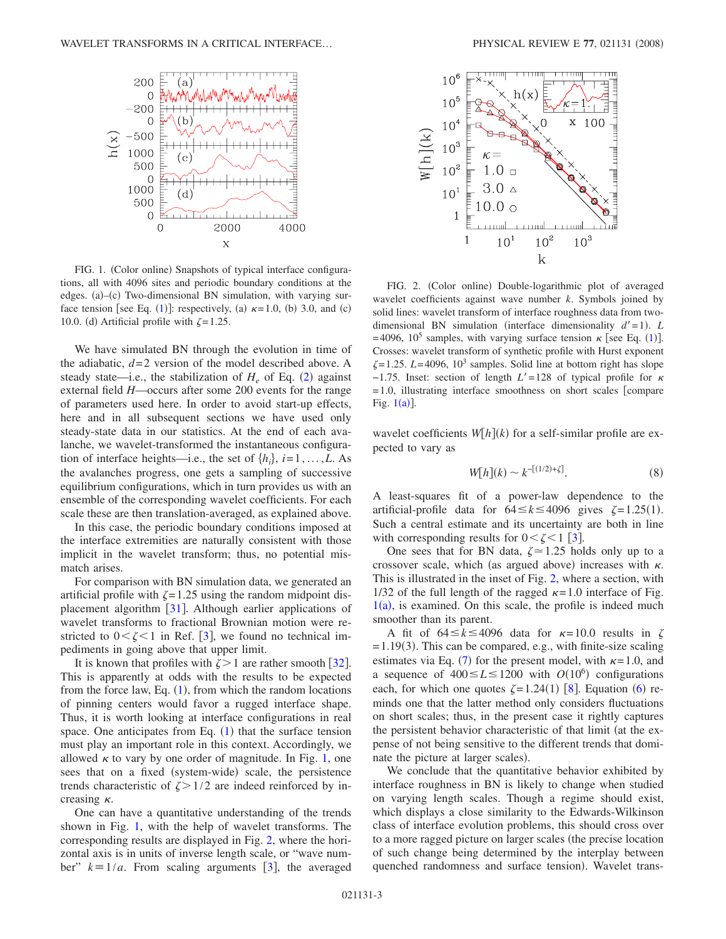<span id="page-2-0"></span>

FIG. 1. (Color online) Snapshots of typical interface configurations, all with 4096 sites and periodic boundary conditions at the edges. (a)-(c) Two-dimensional BN simulation, with varying sur-face tension [see Eq. ([1](#page-1-0))]: respectively, (a)  $\kappa$ =1.0, (b) 3.0, and (c) 10.0. (d) Artificial profile with  $\zeta = 1.25$ .

We have simulated BN through the evolution in time of the adiabatic,  $d=2$  version of the model described above. A steady state—i.e., the stabilization of  $H_e$  of Eq. ([2](#page-1-1)) against external field *H*—occurs after some 200 events for the range of parameters used here. In order to avoid start-up effects, here and in all subsequent sections we have used only steady-state data in our statistics. At the end of each avalanche, we wavelet-transformed the instantaneous configuration of interface heights—i.e., the set of  $\{h_i\}$ ,  $i=1,\ldots,L$ . As the avalanches progress, one gets a sampling of successive equilibrium configurations, which in turn provides us with an ensemble of the corresponding wavelet coefficients. For each scale these are then translation-averaged, as explained above.

In this case, the periodic boundary conditions imposed at the interface extremities are naturally consistent with those implicit in the wavelet transform; thus, no potential mismatch arises.

For comparison with BN simulation data, we generated an artificial profile with  $\zeta = 1.25$  using the random midpoint displacement algorithm  $\left[31\right]$  $\left[31\right]$  $\left[31\right]$ . Although earlier applications of wavelet transforms to fractional Brownian motion were restricted to  $0 < \zeta < 1$  in Ref. [[3](#page-8-1)], we found no technical impediments in going above that upper limit.

It is known that profiles with  $\zeta > 1$  are rather smooth [[32](#page-8-27)]. This is apparently at odds with the results to be expected from the force law, Eq.  $(1)$  $(1)$  $(1)$ , from which the random locations of pinning centers would favor a rugged interface shape. Thus, it is worth looking at interface configurations in real space. One anticipates from Eq.  $(1)$  $(1)$  $(1)$  that the surface tension must play an important role in this context. Accordingly, we allowed  $\kappa$  to vary by one order of magnitude. In Fig. [1,](#page-2-0) one sees that on a fixed (system-wide) scale, the persistence trends characteristic of  $\zeta > 1/2$  are indeed reinforced by increasing  $\kappa$ .

One can have a quantitative understanding of the trends shown in Fig. [1,](#page-2-0) with the help of wavelet transforms. The corresponding results are displayed in Fig. [2,](#page-2-1) where the horizontal axis is in units of inverse length scale, or "wave number"  $k=1/a$ . From scaling arguments [[3](#page-8-1)], the averaged

<span id="page-2-1"></span>

FIG. 2. (Color online) Double-logarithmic plot of averaged wavelet coefficients against wave number *k*. Symbols joined by solid lines: wavelet transform of interface roughness data from twodimensional BN simulation (interface dimensionality  $d' = 1$ ). *L* = 4096, [1](#page-1-0)0<sup>5</sup> samples, with varying surface tension  $\kappa$  [see Eq. (1)]. Crosses: wavelet transform of synthetic profile with Hurst exponent  $\zeta = 1.25$ . *L*=4096, 10<sup>3</sup> samples. Solid line at bottom right has slope  $-1.75$ . Inset: section of length  $L' = 128$  of typical profile for  $\kappa$  $= 1.0$ , illustrating interface smoothness on short scales [compare] Fig.  $1(a)$  $1(a)$ ].

wavelet coefficients  $W[h](k)$  for a self-similar profile are expected to vary as

$$
W[h](k) \sim k^{-[(1/2)+\zeta]}.
$$
 (8)

<span id="page-2-2"></span>A least-squares fit of a power-law dependence to the artificial-profile data for  $64 \le k \le 4096$  gives  $\zeta = 1.25(1)$ . Such a central estimate and its uncertainty are both in line with corresponding results for  $0 < \zeta < 1$  [[3](#page-8-1)].

One sees that for BN data,  $\zeta \approx 1.25$  holds only up to a crossover scale, which (as argued above) increases with  $\kappa$ . This is illustrated in the inset of Fig. [2,](#page-2-1) where a section, with 1/32 of the full length of the ragged  $\kappa = 1.0$  interface of Fig.  $1(a)$  $1(a)$ , is examined. On this scale, the profile is indeed much smoother than its parent.

A fit of  $64 \le k \le 4096$  data for  $\kappa = 10.0$  results in  $\zeta$  $= 1.19(3)$ . This can be compared, e.g., with finite-size scaling estimates via Eq. ([7](#page-1-2)) for the present model, with  $\kappa = 1.0$ , and a sequence of  $400 \le L \le 1200$  with  $O(10^6)$  configurations each, for which one quotes  $\zeta = 1.24(1)$  [[8](#page-8-18)]. Equation ([6](#page-1-3)) reminds one that the latter method only considers fluctuations on short scales; thus, in the present case it rightly captures the persistent behavior characteristic of that limit (at the expense of not being sensitive to the different trends that dominate the picture at larger scales).

We conclude that the quantitative behavior exhibited by interface roughness in BN is likely to change when studied on varying length scales. Though a regime should exist, which displays a close similarity to the Edwards-Wilkinson class of interface evolution problems, this should cross over to a more ragged picture on larger scales (the precise location of such change being determined by the interplay between quenched randomness and surface tension). Wavelet trans-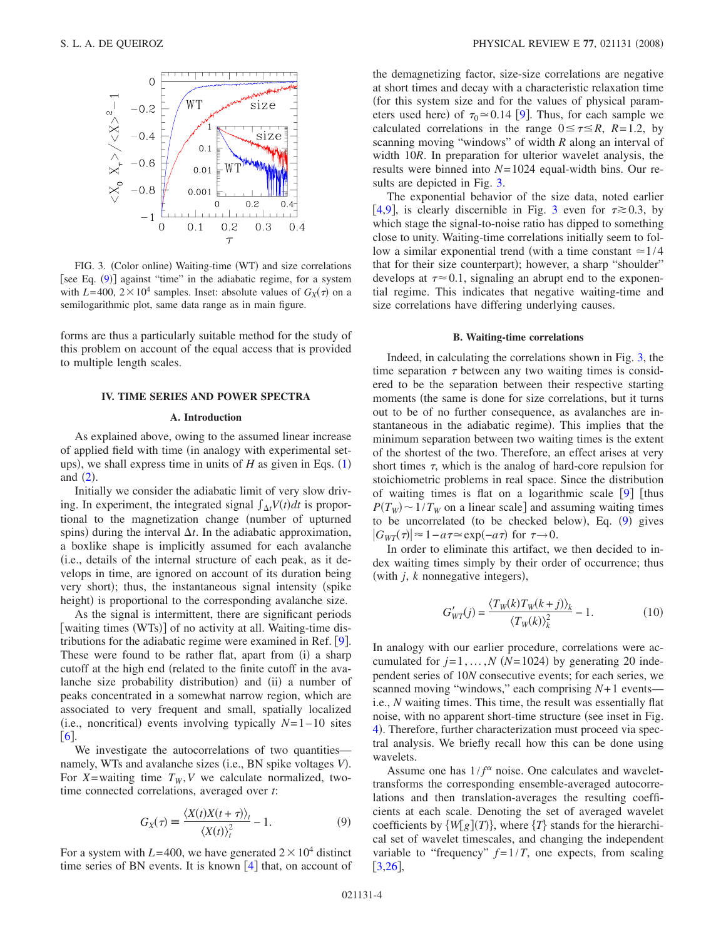<span id="page-3-0"></span>

FIG. 3. (Color online) Waiting-time (WT) and size correlations [see Eq. ([9](#page-3-1))] against "time" in the adiabatic regime, for a system with  $L = 400$ ,  $2 \times 10^4$  samples. Inset: absolute values of  $G_X(\tau)$  on a semilogarithmic plot, same data range as in main figure.

forms are thus a particularly suitable method for the study of this problem on account of the equal access that is provided to multiple length scales.

## **IV. TIME SERIES AND POWER SPECTRA**

### **A. Introduction**

As explained above, owing to the assumed linear increase of applied field with time (in analogy with experimental setups), we shall express time in units of  $H$  as given in Eqs.  $(1)$  $(1)$  $(1)$ and  $(2)$  $(2)$  $(2)$ .

Initially we consider the adiabatic limit of very slow driving. In experiment, the integrated signal  $\int_{\Delta t} V(t) dt$  is proportional to the magnetization change (number of upturned spins) during the interval  $\Delta t$ . In the adiabatic approximation, a boxlike shape is implicitly assumed for each avalanche i.e., details of the internal structure of each peak, as it develops in time, are ignored on account of its duration being very short); thus, the instantaneous signal intensity (spike height) is proportional to the corresponding avalanche size.

As the signal is intermittent, there are significant periods [waiting times (WTs)] of no activity at all. Waiting-time distributions for the adiabatic regime were examined in Ref.  $[9]$  $[9]$  $[9]$ . These were found to be rather flat, apart from (i) a sharp cutoff at the high end (related to the finite cutoff in the avalanche size probability distribution) and (ii) a number of peaks concentrated in a somewhat narrow region, which are associated to very frequent and small, spatially localized (i.e., noncritical) events involving typically  $N= 1-10$  sites  $[6]$  $[6]$  $[6]$ 

We investigate the autocorrelations of two quantities namely, WTs and avalanche sizes (i.e., BN spike voltages V). For *X*=waiting time  $T_W$ , *V* we calculate normalized, twotime connected correlations, averaged over *t*:

$$
G_X(\tau) \equiv \frac{\langle X(t)X(t+\tau)\rangle_t}{\langle X(t)\rangle_t^2} - 1.
$$
 (9)

<span id="page-3-1"></span>For a system with  $L = 400$ , we have generated  $2 \times 10^4$  distinct time series of BN events. It is known  $[4]$  $[4]$  $[4]$  that, on account of the demagnetizing factor, size-size correlations are negative at short times and decay with a characteristic relaxation time for this system size and for the values of physical parameters used here) of  $\tau_0 \approx 0.14$  [[9](#page-8-3)]. Thus, for each sample we calculated correlations in the range  $0 \le \tau \le R$ ,  $R=1.2$ , by scanning moving "windows" of width *R* along an interval of width 10*R*. In preparation for ulterior wavelet analysis, the results were binned into *N*= 1024 equal-width bins. Our results are depicted in Fig. [3.](#page-3-0)

The exponential behavior of the size data, noted earlier [[4](#page-8-2)[,9](#page-8-3)], is clearly discernible in Fig. [3](#page-3-0) even for  $\tau \ge 0.3$ , by which stage the signal-to-noise ratio has dipped to something close to unity. Waiting-time correlations initially seem to follow a similar exponential trend (with a time constant  $\approx$  1/4 that for their size counterpart); however, a sharp "shoulder" develops at  $\tau \approx 0.1$ , signaling an abrupt end to the exponential regime. This indicates that negative waiting-time and size correlations have differing underlying causes.

#### **B. Waiting-time correlations**

Indeed, in calculating the correlations shown in Fig. [3,](#page-3-0) the time separation  $\tau$  between any two waiting times is considered to be the separation between their respective starting moments (the same is done for size correlations, but it turns out to be of no further consequence, as avalanches are instantaneous in the adiabatic regime). This implies that the minimum separation between two waiting times is the extent of the shortest of the two. Therefore, an effect arises at very short times  $\tau$ , which is the analog of hard-core repulsion for stoichiometric problems in real space. Since the distribution of waiting times is flat on a logarithmic scale  $\lceil 9 \rceil$  $\lceil 9 \rceil$  $\lceil 9 \rceil$  [thus  $P(T_W) \sim 1/T_W$  on a linear scale] and assuming waiting times to be uncorrelated (to be checked below), Eq. ([9](#page-3-1)) gives  $|G_{WT}(\tau)| \approx 1 - a\tau \approx \exp(-a\tau)$  for  $\tau \rightarrow 0$ .

<span id="page-3-2"></span>In order to eliminate this artifact, we then decided to index waiting times simply by their order of occurrence; thus (with  $j$ ,  $k$  nonnegative integers),

$$
G'_{WT}(j) = \frac{\langle T_W(k)T_W(k+j) \rangle_k}{\langle T_W(k) \rangle_k^2} - 1.
$$
 (10)

In analogy with our earlier procedure, correlations were accumulated for  $j = 1, ..., N$   $(N = 1024)$  by generating 20 independent series of 10*N* consecutive events; for each series, we scanned moving "windows," each comprising *N*+ 1 events i.e., *N* waiting times. This time, the result was essentially flat noise, with no apparent short-time structure (see inset in Fig. [4](#page-4-0)). Therefore, further characterization must proceed via spectral analysis. We briefly recall how this can be done using wavelets.

Assume one has  $1/f^{\alpha}$  noise. One calculates and wavelettransforms the corresponding ensemble-averaged autocorrelations and then translation-averages the resulting coefficients at each scale. Denoting the set of averaged wavelet coefficients by  $\{W[g](T)\}\$ , where  $\{T\}$  stands for the hierarchical set of wavelet timescales, and changing the independent variable to "frequency"  $f = 1/T$ , one expects, from scaling  $[3,26]$  $[3,26]$  $[3,26]$  $[3,26]$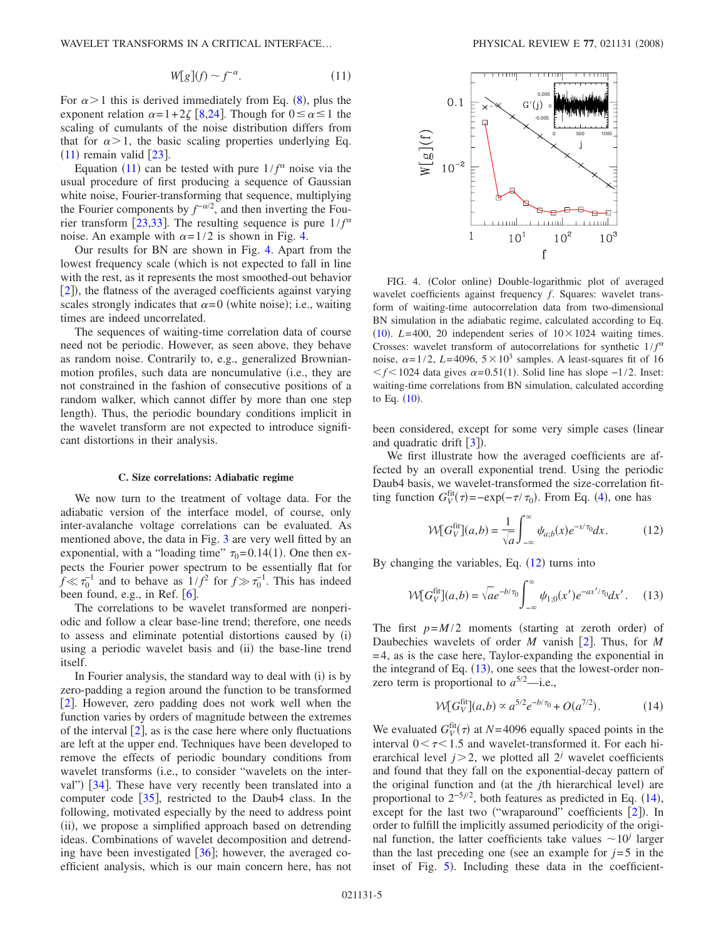<span id="page-4-1"></span>WAVELET TRANSFORMS IN A CRITICAL INTERFACE...

$$
W[g](f) \sim f^{-\alpha}.\tag{11}
$$

For  $\alpha > 1$  this is derived immediately from Eq. ([8](#page-2-2)), plus the exponent relation  $\alpha=1+2\zeta$  [[8](#page-8-18)[,24](#page-8-21)]. Though for  $0 \le \alpha \le 1$  the scaling of cumulants of the noise distribution differs from that for  $\alpha > 1$ , the basic scaling properties underlying Eq.  $(11)$  $(11)$  $(11)$  remain valid  $[23]$  $[23]$  $[23]$ .

Equation ([11](#page-4-1)) can be tested with pure  $1/f^{\alpha}$  noise via the usual procedure of first producing a sequence of Gaussian white noise, Fourier-transforming that sequence, multiplying the Fourier components by  $f^{-\alpha/2}$ , and then inverting the Fou-rier transform [[23](#page-8-20)[,33](#page-8-28)]. The resulting sequence is pure  $1/f^{\alpha}$ noise. An example with  $\alpha = 1/2$  is shown in Fig. [4.](#page-4-0)

Our results for BN are shown in Fig. [4.](#page-4-0) Apart from the lowest frequency scale (which is not expected to fall in line with the rest, as it represents the most smoothed-out behavior [[2](#page-8-19)]), the flatness of the averaged coefficients against varying scales strongly indicates that  $\alpha = 0$  (white noise); i.e., waiting times are indeed uncorrelated.

The sequences of waiting-time correlation data of course need not be periodic. However, as seen above, they behave as random noise. Contrarily to, e.g., generalized Brownianmotion profiles, such data are noncumulative (i.e., they are not constrained in the fashion of consecutive positions of a random walker, which cannot differ by more than one step length). Thus, the periodic boundary conditions implicit in the wavelet transform are not expected to introduce significant distortions in their analysis.

#### **C. Size correlations: Adiabatic regime**

We now turn to the treatment of voltage data. For the adiabatic version of the interface model, of course, only inter-avalanche voltage correlations can be evaluated. As mentioned above, the data in Fig. [3](#page-3-0) are very well fitted by an exponential, with a "loading time"  $\tau_0 = 0.14(1)$ . One then expects the Fourier power spectrum to be essentially flat for  $f \ll \tau_0^{-1}$  and to behave as  $1/f^2$  for  $f \gg \tau_0^{-1}$ . This has indeed been found, e.g., in Ref.  $\lceil 6 \rceil$  $\lceil 6 \rceil$  $\lceil 6 \rceil$ .

The correlations to be wavelet transformed are nonperiodic and follow a clear base-line trend; therefore, one needs to assess and eliminate potential distortions caused by (i) using a periodic wavelet basis and (ii) the base-line trend itself.

In Fourier analysis, the standard way to deal with (i) is by zero-padding a region around the function to be transformed  $[2]$  $[2]$  $[2]$ . However, zero padding does not work well when the function varies by orders of magnitude between the extremes of the interval  $\lbrack 2 \rbrack$  $\lbrack 2 \rbrack$  $\lbrack 2 \rbrack$ , as is the case here where only fluctuations are left at the upper end. Techniques have been developed to remove the effects of periodic boundary conditions from wavelet transforms (i.e., to consider "wavelets on the inter-val") [[34](#page-8-29)]. These have very recently been translated into a computer code  $\lceil 35 \rceil$  $\lceil 35 \rceil$  $\lceil 35 \rceil$ , restricted to the Daub4 class. In the following, motivated especially by the need to address point (ii), we propose a simplified approach based on detrending ideas. Combinations of wavelet decomposition and detrending have been investigated  $[36]$  $[36]$  $[36]$ ; however, the averaged coefficient analysis, which is our main concern here, has not

<span id="page-4-0"></span>

FIG. 4. (Color online) Double-logarithmic plot of averaged wavelet coefficients against frequency *f*. Squares: wavelet transform of waiting-time autocorrelation data from two-dimensional BN simulation in the adiabatic regime, calculated according to Eq. ([10](#page-3-2)).  $L = 400$ , 20 independent series of  $10 \times 1024$  waiting times. Crosses: wavelet transform of autocorrelations for synthetic  $1/f^{\alpha}$ noise,  $\alpha = 1/2$ , *L*=4096,  $5 \times 10^3$  samples. A least-squares fit of 16  $f$  1024 data gives  $\alpha$ =0.51(1). Solid line has slope -1/2. Inset: waiting-time correlations from BN simulation, calculated according to Eq.  $(10)$  $(10)$  $(10)$ .

been considered, except for some very simple cases (linear and quadratic drift  $[3]$  $[3]$  $[3]$ ).

We first illustrate how the averaged coefficients are affected by an overall exponential trend. Using the periodic Daub4 basis, we wavelet-transformed the size-correlation fitting function  $G_V^{\text{fit}}(\tau) = -\exp(-\tau/\tau_0)$ . From Eq. ([4](#page-1-4)), one has

$$
\mathcal{W}[G_V^{\text{fit}}](a,b) = \frac{1}{\sqrt{a}} \int_{-\infty}^{\infty} \psi_{a;b}(x) e^{-x/\tau_0} dx.
$$
 (12)

<span id="page-4-3"></span><span id="page-4-2"></span>By changing the variables, Eq.  $(12)$  $(12)$  $(12)$  turns into

$$
\mathcal{W}[G_{V}^{\text{fit}}](a,b) = \sqrt{a}e^{-b/\tau_{0}} \int_{-\infty}^{\infty} \psi_{1;0}(x')e^{-ax'/\tau_{0}}dx'. \quad (13)
$$

The first  $p=M/2$  moments (starting at zeroth order) of Daubechies wavelets of order *M* vanish [[2](#page-8-19)]. Thus, for *M* = 4, as is the case here, Taylor-expanding the exponential in the integrand of Eq.  $(13)$  $(13)$  $(13)$ , one sees that the lowest-order nonzero term is proportional to  $a^{5/2}$ —i.e.,

$$
W[G_V^{\text{fit}}](a,b) \propto a^{5/2} e^{-b/\tau_0} + O(a^{7/2}). \tag{14}
$$

<span id="page-4-4"></span>We evaluated  $G_V^{\text{fit}}(\tau)$  at  $N=4096$  equally spaced points in the interval  $0 < \tau < 1.5$  and wavelet-transformed it. For each hierarchical level  $j > 2$ , we plotted all  $2<sup>j</sup>$  wavelet coefficients and found that they fall on the exponential-decay pattern of the original function and (at the *j*th hierarchical level) are proportional to  $2^{-5j/2}$ , both features as predicted in Eq.  $(14)$  $(14)$  $(14)$ , except for the last two ("wraparound" coefficients  $[2]$  $[2]$  $[2]$ ). In order to fulfill the implicitly assumed periodicity of the original function, the latter coefficients take values  $\sim 10^j$  larger than the last preceding one (see an example for  $j=5$  in the inset of Fig. [5](#page-5-0)). Including these data in the coefficient-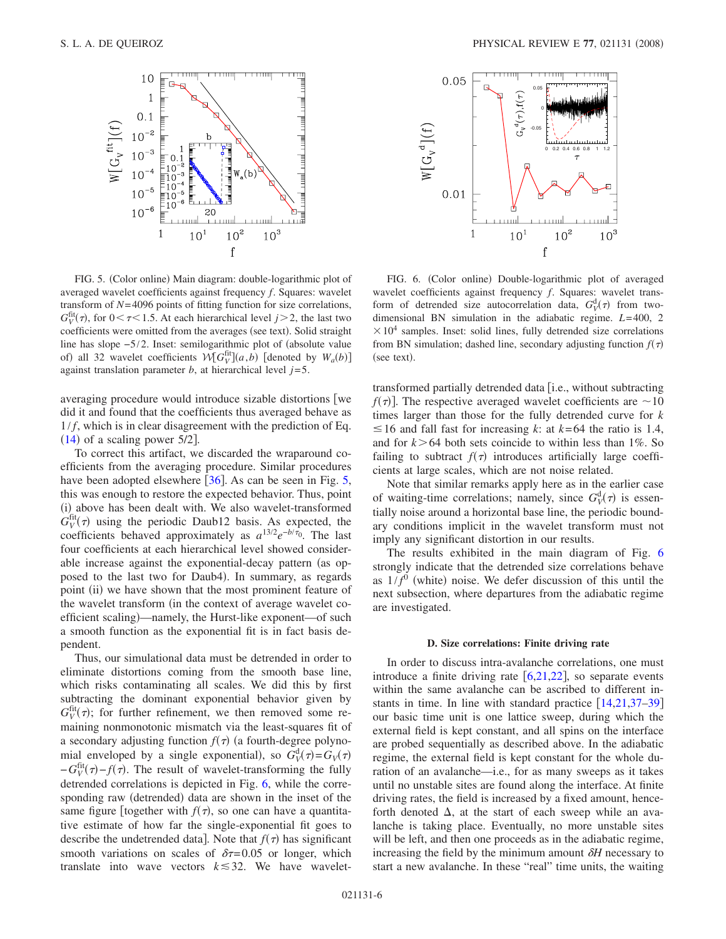<span id="page-5-0"></span>

FIG. 5. (Color online) Main diagram: double-logarithmic plot of averaged wavelet coefficients against frequency *f*. Squares: wavelet transform of *N*= 4096 points of fitting function for size correlations,  $G_V^{\text{fit}}(\tau)$ , for  $0 < \tau < 1.5$ . At each hierarchical level  $j > 2$ , the last two coefficients were omitted from the averages (see text). Solid straight line has slope −5/2. Inset: semilogarithmic plot of (absolute value of) all 32 wavelet coefficients  $W[G_V^{\text{fit}}](a, b)$  [denoted by  $W_a(b)$ ] against translation parameter  $b$ , at hierarchical level  $j=5$ .

averaging procedure would introduce sizable distortions we did it and found that the coefficients thus averaged behave as  $1/f$ , which is in clear disagreement with the prediction of Eq.  $(14)$  $(14)$  $(14)$  of a scaling power 5/2].

To correct this artifact, we discarded the wraparound coefficients from the averaging procedure. Similar procedures have been adopted elsewhere  $[36]$  $[36]$  $[36]$ . As can be seen in Fig. [5,](#page-5-0) this was enough to restore the expected behavior. Thus, point (i) above has been dealt with. We also wavelet-transformed  $G_V^{\text{fit}}(\tau)$  using the periodic Daub12 basis. As expected, the coefficients behaved approximately as  $a^{13/2}e^{-b/\tau_0}$ . The last four coefficients at each hierarchical level showed considerable increase against the exponential-decay pattern (as opposed to the last two for Daub4). In summary, as regards point (ii) we have shown that the most prominent feature of the wavelet transform (in the context of average wavelet coefficient scaling)—namely, the Hurst-like exponent—of such a smooth function as the exponential fit is in fact basis dependent.

Thus, our simulational data must be detrended in order to eliminate distortions coming from the smooth base line, which risks contaminating all scales. We did this by first subtracting the dominant exponential behavior given by  $G_V^{\text{fit}}(\tau)$ ; for further refinement, we then removed some remaining nonmonotonic mismatch via the least-squares fit of a secondary adjusting function  $f(\tau)$  (a fourth-degree polynomial enveloped by a single exponential), so  $G_V^d(\tau) = G_V(\tau)$  $-G_V^{\text{fit}}(\tau) - f(\tau)$ . The result of wavelet-transforming the fully detrended correlations is depicted in Fig. [6,](#page-5-1) while the corresponding raw (detrended) data are shown in the inset of the same figure [together with  $f(\tau)$ , so one can have a quantitative estimate of how far the single-exponential fit goes to describe the undetrended data]. Note that  $f(\tau)$  has significant smooth variations on scales of  $\delta \tau = 0.05$  or longer, which translate into wave vectors  $k \leq 32$ . We have wavelet-

<span id="page-5-1"></span>

FIG. 6. (Color online) Double-logarithmic plot of averaged wavelet coefficients against frequency *f*. Squares: wavelet transform of detrended size autocorrelation data,  $G_V^d(\tau)$  from twodimensional BN simulation in the adiabatic regime. *L*= 400, 2  $\times 10^4$  samples. Inset: solid lines, fully detrended size correlations from BN simulation; dashed line, secondary adjusting function  $f(\tau)$ (see text).

transformed partially detrended data i.e., without subtracting  $f(\tau)$ . The respective averaged wavelet coefficients are  $\sim$ 10 times larger than those for the fully detrended curve for *k*  $\leq$  16 and fall fast for increasing *k*: at *k*=64 the ratio is 1.4, and for  $k > 64$  both sets coincide to within less than 1%. So failing to subtract  $f(\tau)$  introduces artificially large coefficients at large scales, which are not noise related.

Note that similar remarks apply here as in the earlier case of waiting-time correlations; namely, since  $G_V^d(\tau)$  is essentially noise around a horizontal base line, the periodic boundary conditions implicit in the wavelet transform must not imply any significant distortion in our results.

The results exhibited in the main diagram of Fig. [6](#page-5-1) strongly indicate that the detrended size correlations behave as  $1/f<sup>0</sup>$  (white) noise. We defer discussion of this until the next subsection, where departures from the adiabatic regime are investigated.

## **D. Size correlations: Finite driving rate**

In order to discuss intra-avalanche correlations, one must introduce a finite driving rate  $[6,21,22]$  $[6,21,22]$  $[6,21,22]$  $[6,21,22]$  $[6,21,22]$ , so separate events within the same avalanche can be ascribed to different instants in time. In line with standard practice  $[14,21,37-39]$  $[14,21,37-39]$  $[14,21,37-39]$  $[14,21,37-39]$  $[14,21,37-39]$  $[14,21,37-39]$ our basic time unit is one lattice sweep, during which the external field is kept constant, and all spins on the interface are probed sequentially as described above. In the adiabatic regime, the external field is kept constant for the whole duration of an avalanche—i.e., for as many sweeps as it takes until no unstable sites are found along the interface. At finite driving rates, the field is increased by a fixed amount, henceforth denoted  $\Delta$ , at the start of each sweep while an avalanche is taking place. Eventually, no more unstable sites will be left, and then one proceeds as in the adiabatic regime, increasing the field by the minimum amount  $\delta H$  necessary to start a new avalanche. In these "real" time units, the waiting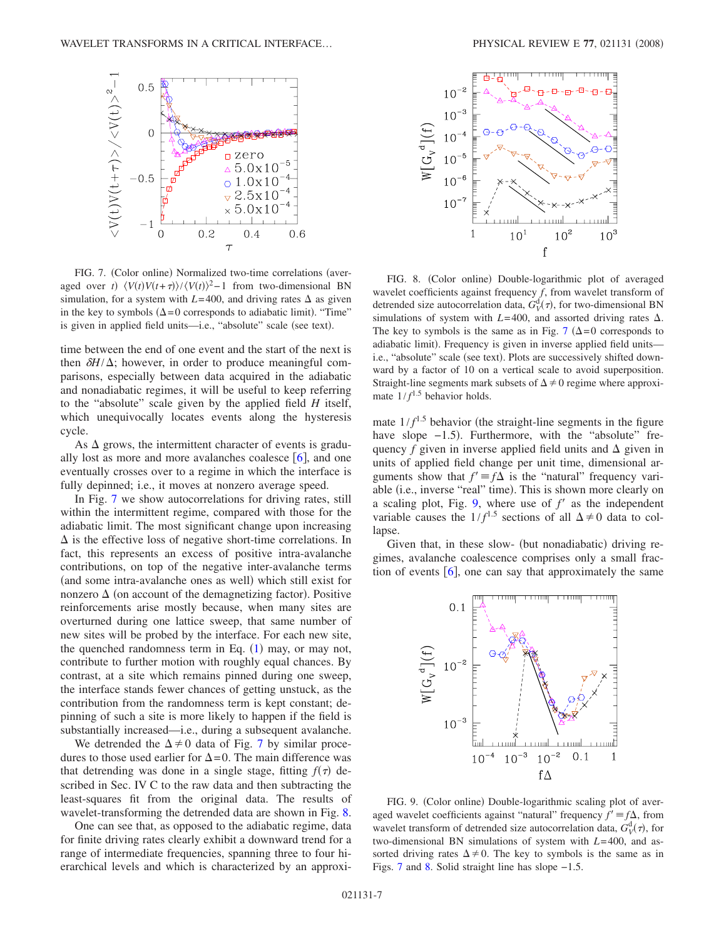<span id="page-6-0"></span>

FIG. 7. (Color online) Normalized two-time correlations (averaged over *t*)  $\langle V(t)V(t+\tau)\rangle / \langle V(t)\rangle^2 - 1$  from two-dimensional BN simulation, for a system with  $L=400$ , and driving rates  $\Delta$  as given in the key to symbols  $(\Delta = 0$  corresponds to adiabatic limit). "Time" is given in applied field units-i.e., "absolute" scale (see text).

time between the end of one event and the start of the next is then  $\delta H/\Delta$ ; however, in order to produce meaningful comparisons, especially between data acquired in the adiabatic and nonadiabatic regimes, it will be useful to keep referring to the "absolute" scale given by the applied field *H* itself, which unequivocally locates events along the hysteresis cycle.

As  $\Delta$  grows, the intermittent character of events is gradually lost as more and more avalanches coalesce  $\lceil 6 \rceil$  $\lceil 6 \rceil$  $\lceil 6 \rceil$ , and one eventually crosses over to a regime in which the interface is fully depinned; i.e., it moves at nonzero average speed.

In Fig. [7](#page-6-0) we show autocorrelations for driving rates, still within the intermittent regime, compared with those for the adiabatic limit. The most significant change upon increasing  $\Delta$  is the effective loss of negative short-time correlations. In fact, this represents an excess of positive intra-avalanche contributions, on top of the negative inter-avalanche terms (and some intra-avalanche ones as well) which still exist for nonzero  $\Delta$  (on account of the demagnetizing factor). Positive reinforcements arise mostly because, when many sites are overturned during one lattice sweep, that same number of new sites will be probed by the interface. For each new site, the quenched randomness term in Eq.  $(1)$  $(1)$  $(1)$  may, or may not, contribute to further motion with roughly equal chances. By contrast, at a site which remains pinned during one sweep, the interface stands fewer chances of getting unstuck, as the contribution from the randomness term is kept constant; depinning of such a site is more likely to happen if the field is substantially increased—i.e., during a subsequent avalanche.

We detrended the  $\Delta \neq 0$  data of Fig. [7](#page-6-0) by similar procedures to those used earlier for  $\Delta = 0$ . The main difference was that detrending was done in a single stage, fitting  $f(\tau)$  described in Sec. IV C to the raw data and then subtracting the least-squares fit from the original data. The results of wavelet-transforming the detrended data are shown in Fig. [8.](#page-6-1)

One can see that, as opposed to the adiabatic regime, data for finite driving rates clearly exhibit a downward trend for a range of intermediate frequencies, spanning three to four hierarchical levels and which is characterized by an approxi-

<span id="page-6-1"></span>

FIG. 8. (Color online) Double-logarithmic plot of averaged wavelet coefficients against frequency *f*, from wavelet transform of detrended size autocorrelation data,  $G_V^d(\tau)$ , for two-dimensional BN simulations of system with  $L=400$ , and assorted driving rates  $\Delta$ . The key to symbols is the same as in Fig. [7](#page-6-0) ( $\Delta = 0$  corresponds to adiabatic limit). Frequency is given in inverse applied field unitsi.e., "absolute" scale (see text). Plots are successively shifted downward by a factor of 10 on a vertical scale to avoid superposition. Straight-line segments mark subsets of  $\Delta \neq 0$  regime where approximate  $1/f^{1.5}$  behavior holds.

mate  $1/f^{1.5}$  behavior (the straight-line segments in the figure have slope -1.5). Furthermore, with the "absolute" frequency  $f$  given in inverse applied field units and  $\Delta$  given in units of applied field change per unit time, dimensional arguments show that  $f' \equiv f\Delta$  is the "natural" frequency variable (i.e., inverse "real" time). This is shown more clearly on a scaling plot, Fig.  $9$ , where use of  $f'$  as the independent variable causes the  $1/f^{1.5}$  sections of all  $\Delta \neq 0$  data to collapse.

Given that, in these slow- (but nonadiabatic) driving regimes, avalanche coalescence comprises only a small fraction of events  $\left[6\right]$  $\left[6\right]$  $\left[6\right]$ , one can say that approximately the same

<span id="page-6-2"></span>

FIG. 9. (Color online) Double-logarithmic scaling plot of averaged wavelet coefficients against "natural" frequency  $f' \equiv f\Delta$ , from wavelet transform of detrended size autocorrelation data,  $G_V^d(\tau)$ , for two-dimensional BN simulations of system with *L*= 400, and assorted driving rates  $\Delta \neq 0$ . The key to symbols is the same as in Figs. [7](#page-6-0) and [8.](#page-6-1) Solid straight line has slope −1.5.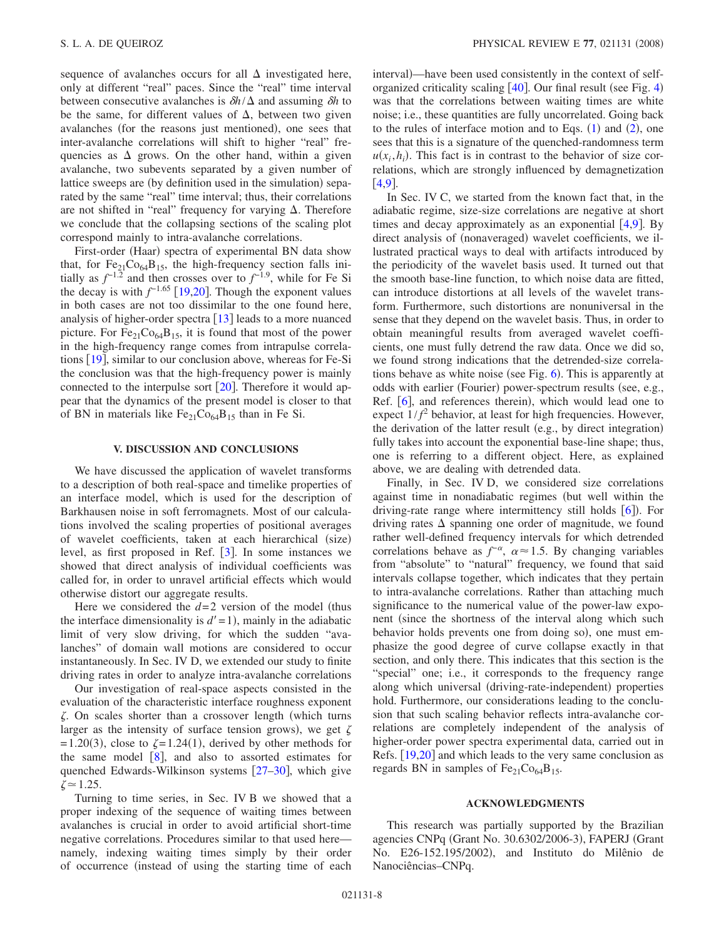sequence of avalanches occurs for all  $\Delta$  investigated here, only at different "real" paces. Since the "real" time interval between consecutive avalanches is  $\delta h/\Delta$  and assuming  $\delta h$  to be the same, for different values of  $\Delta$ , between two given avalanches (for the reasons just mentioned), one sees that inter-avalanche correlations will shift to higher "real" frequencies as  $\Delta$  grows. On the other hand, within a given avalanche, two subevents separated by a given number of lattice sweeps are (by definition used in the simulation) separated by the same "real" time interval; thus, their correlations are not shifted in "real" frequency for varying  $\Delta$ . Therefore we conclude that the collapsing sections of the scaling plot correspond mainly to intra-avalanche correlations.

First-order (Haar) spectra of experimental BN data show that, for  $Fe_{21}Co_{64}B_{15}$ , the high-frequency section falls initially as  $f^{-1.2}$  and then crosses over to  $f^{-1.9}$ , while for Fe Si the decay is with  $f^{-1.65}$  [[19](#page-8-12)[,20](#page-8-13)]. Though the exponent values in both cases are not too dissimilar to the one found here, analysis of higher-order spectra  $[13]$  $[13]$  $[13]$  leads to a more nuanced picture. For  $Fe<sub>21</sub>Co<sub>64</sub>B<sub>15</sub>$ , it is found that most of the power in the high-frequency range comes from intrapulse correlations  $[19]$  $[19]$  $[19]$ , similar to our conclusion above, whereas for Fe-Si the conclusion was that the high-frequency power is mainly connected to the interpulse sort  $\lceil 20 \rceil$  $\lceil 20 \rceil$  $\lceil 20 \rceil$ . Therefore it would appear that the dynamics of the present model is closer to that of BN in materials like  $Fe_{21}Co_{64}B_{15}$  than in Fe Si.

# **V. DISCUSSION AND CONCLUSIONS**

We have discussed the application of wavelet transforms to a description of both real-space and timelike properties of an interface model, which is used for the description of Barkhausen noise in soft ferromagnets. Most of our calculations involved the scaling properties of positional averages of wavelet coefficients, taken at each hierarchical (size) level, as first proposed in Ref.  $\left[3\right]$  $\left[3\right]$  $\left[3\right]$ . In some instances we showed that direct analysis of individual coefficients was called for, in order to unravel artificial effects which would otherwise distort our aggregate results.

Here we considered the  $d=2$  version of the model (thus the interface dimensionality is  $d' = 1$ ), mainly in the adiabatic limit of very slow driving, for which the sudden "avalanches" of domain wall motions are considered to occur instantaneously. In Sec. IV D, we extended our study to finite driving rates in order to analyze intra-avalanche correlations

Our investigation of real-space aspects consisted in the evaluation of the characteristic interface roughness exponent  $\zeta$ . On scales shorter than a crossover length (which turns larger as the intensity of surface tension grows), we get  $\zeta$  $= 1.20(3)$ , close to  $\zeta = 1.24(1)$ , derived by other methods for the same model  $\lceil 8 \rceil$  $\lceil 8 \rceil$  $\lceil 8 \rceil$ , and also to assorted estimates for quenched Edwards-Wilkinson systems  $[27-30]$  $[27-30]$  $[27-30]$ , which give  $\zeta \approx 1.25$ .

Turning to time series, in Sec. IV B we showed that a proper indexing of the sequence of waiting times between avalanches is crucial in order to avoid artificial short-time negative correlations. Procedures similar to that used here namely, indexing waiting times simply by their order of occurrence (instead of using the starting time of each

interval)—have been used consistently in the context of selforganized criticality scaling  $[40]$  $[40]$  $[40]$ . Our final result (see Fig. [4](#page-4-0)) was that the correlations between waiting times are white noise; i.e., these quantities are fully uncorrelated. Going back to the rules of interface motion and to Eqs.  $(1)$  $(1)$  $(1)$  and  $(2)$  $(2)$  $(2)$ , one sees that this is a signature of the quenched-randomness term  $u(x_i, h_i)$ . This fact is in contrast to the behavior of size correlations, which are strongly influenced by demagnetization  $[4, 9]$  $[4, 9]$  $[4, 9]$ .

In Sec. IV C, we started from the known fact that, in the adiabatic regime, size-size correlations are negative at short times and decay approximately as an exponential  $(4,9)$  $(4,9)$  $(4,9)$  $(4,9)$ . By direct analysis of (nonaveraged) wavelet coefficients, we illustrated practical ways to deal with artifacts introduced by the periodicity of the wavelet basis used. It turned out that the smooth base-line function, to which noise data are fitted, can introduce distortions at all levels of the wavelet transform. Furthermore, such distortions are nonuniversal in the sense that they depend on the wavelet basis. Thus, in order to obtain meaningful results from averaged wavelet coefficients, one must fully detrend the raw data. Once we did so, we found strong indications that the detrended-size correla-tions behave as white noise (see Fig. [6](#page-5-1)). This is apparently at odds with earlier (Fourier) power-spectrum results (see, e.g., Ref. [[6](#page-8-14)], and references therein), which would lead one to expect  $1/f<sup>2</sup>$  behavior, at least for high frequencies. However, the derivation of the latter result (e.g., by direct integration) fully takes into account the exponential base-line shape; thus, one is referring to a different object. Here, as explained above, we are dealing with detrended data.

Finally, in Sec. IV D, we considered size correlations against time in nonadiabatic regimes (but well within the driving-rate range where intermittency still holds [[6](#page-8-14)]). For driving rates  $\Delta$  spanning one order of magnitude, we found rather well-defined frequency intervals for which detrended correlations behave as  $f^{-\alpha}$ ,  $\alpha \approx 1.5$ . By changing variables from "absolute" to "natural" frequency, we found that said intervals collapse together, which indicates that they pertain to intra-avalanche correlations. Rather than attaching much significance to the numerical value of the power-law exponent (since the shortness of the interval along which such behavior holds prevents one from doing so), one must emphasize the good degree of curve collapse exactly in that section, and only there. This indicates that this section is the "special" one; i.e., it corresponds to the frequency range along which universal (driving-rate-independent) properties hold. Furthermore, our considerations leading to the conclusion that such scaling behavior reflects intra-avalanche correlations are completely independent of the analysis of higher-order power spectra experimental data, carried out in Refs.  $[19,20]$  $[19,20]$  $[19,20]$  $[19,20]$  and which leads to the very same conclusion as regards BN in samples of  $Fe_{21}Co_{64}B_{15}$ .

#### **ACKNOWLEDGMENTS**

This research was partially supported by the Brazilian agencies CNPq (Grant No. 30.6302/2006-3), FAPERJ (Grant No. E26-152.195/2002), and Instituto do Milênio de Nanociências–CNPq.